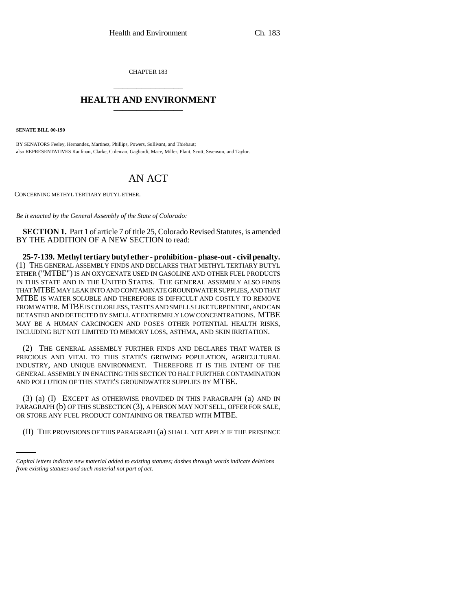CHAPTER 183 \_\_\_\_\_\_\_\_\_\_\_\_\_\_\_

## **HEALTH AND ENVIRONMENT** \_\_\_\_\_\_\_\_\_\_\_\_\_\_\_

**SENATE BILL 00-190** 

BY SENATORS Feeley, Hernandez, Martinez, Phillips, Powers, Sullivant, and Thiebaut; also REPRESENTATIVES Kaufman, Clarke, Coleman, Gagliardi, Mace, Miller, Plant, Scott, Swenson, and Taylor.

## AN ACT

CONCERNING METHYL TERTIARY BUTYL ETHER.

*Be it enacted by the General Assembly of the State of Colorado:*

**SECTION 1.** Part 1 of article 7 of title 25, Colorado Revised Statutes, is amended BY THE ADDITION OF A NEW SECTION to read:

**25-7-139. Methyl tertiary butyl ether - prohibition - phase-out - civil penalty.** (1) THE GENERAL ASSEMBLY FINDS AND DECLARES THAT METHYL TERTIARY BUTYL ETHER ("MTBE") IS AN OXYGENATE USED IN GASOLINE AND OTHER FUEL PRODUCTS IN THIS STATE AND IN THE UNITED STATES. THE GENERAL ASSEMBLY ALSO FINDS THAT MTBE MAY LEAK INTO AND CONTAMINATE GROUNDWATER SUPPLIES, AND THAT MTBE IS WATER SOLUBLE AND THEREFORE IS DIFFICULT AND COSTLY TO REMOVE FROM WATER. MTBE IS COLORLESS, TASTES AND SMELLS LIKE TURPENTINE, AND CAN BE TASTED AND DETECTED BY SMELL AT EXTREMELY LOW CONCENTRATIONS. MTBE MAY BE A HUMAN CARCINOGEN AND POSES OTHER POTENTIAL HEALTH RISKS, INCLUDING BUT NOT LIMITED TO MEMORY LOSS, ASTHMA, AND SKIN IRRITATION.

(2) THE GENERAL ASSEMBLY FURTHER FINDS AND DECLARES THAT WATER IS PRECIOUS AND VITAL TO THIS STATE'S GROWING POPULATION, AGRICULTURAL INDUSTRY, AND UNIQUE ENVIRONMENT. THEREFORE IT IS THE INTENT OF THE GENERAL ASSEMBLY IN ENACTING THIS SECTION TO HALT FURTHER CONTAMINATION AND POLLUTION OF THIS STATE'S GROUNDWATER SUPPLIES BY MTBE.

OR STORE ANY FUEL PRODUCT CONTAINING OR TREATED WITH MTBE. (3) (a) (I) EXCEPT AS OTHERWISE PROVIDED IN THIS PARAGRAPH (a) AND IN PARAGRAPH (b) OF THIS SUBSECTION (3), A PERSON MAY NOT SELL, OFFER FOR SALE,

(II) THE PROVISIONS OF THIS PARAGRAPH (a) SHALL NOT APPLY IF THE PRESENCE

*Capital letters indicate new material added to existing statutes; dashes through words indicate deletions from existing statutes and such material not part of act.*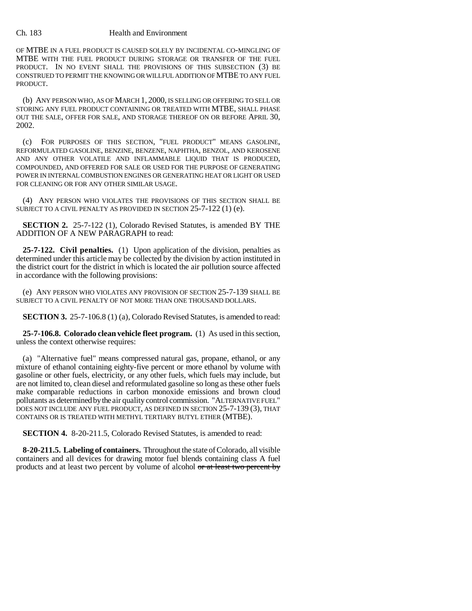## Ch. 183 Health and Environment

OF MTBE IN A FUEL PRODUCT IS CAUSED SOLELY BY INCIDENTAL CO-MINGLING OF MTBE WITH THE FUEL PRODUCT DURING STORAGE OR TRANSFER OF THE FUEL PRODUCT. IN NO EVENT SHALL THE PROVISIONS OF THIS SUBSECTION (3) BE CONSTRUED TO PERMIT THE KNOWING OR WILLFUL ADDITION OF MTBE TO ANY FUEL PRODUCT.

(b) ANY PERSON WHO, AS OF MARCH 1, 2000, IS SELLING OR OFFERING TO SELL OR STORING ANY FUEL PRODUCT CONTAINING OR TREATED WITH MTBE, SHALL PHASE OUT THE SALE, OFFER FOR SALE, AND STORAGE THEREOF ON OR BEFORE APRIL 30, 2002.

(c) FOR PURPOSES OF THIS SECTION, "FUEL PRODUCT" MEANS GASOLINE, REFORMULATED GASOLINE, BENZINE, BENZENE, NAPHTHA, BENZOL, AND KEROSENE AND ANY OTHER VOLATILE AND INFLAMMABLE LIQUID THAT IS PRODUCED, COMPOUNDED, AND OFFERED FOR SALE OR USED FOR THE PURPOSE OF GENERATING POWER IN INTERNAL COMBUSTION ENGINES OR GENERATING HEAT OR LIGHT OR USED FOR CLEANING OR FOR ANY OTHER SIMILAR USAGE.

(4) ANY PERSON WHO VIOLATES THE PROVISIONS OF THIS SECTION SHALL BE SUBJECT TO A CIVIL PENALTY AS PROVIDED IN SECTION 25-7-122 (1) (e).

**SECTION 2.** 25-7-122 (1), Colorado Revised Statutes, is amended BY THE ADDITION OF A NEW PARAGRAPH to read:

**25-7-122. Civil penalties.** (1) Upon application of the division, penalties as determined under this article may be collected by the division by action instituted in the district court for the district in which is located the air pollution source affected in accordance with the following provisions:

(e) ANY PERSON WHO VIOLATES ANY PROVISION OF SECTION 25-7-139 SHALL BE SUBJECT TO A CIVIL PENALTY OF NOT MORE THAN ONE THOUSAND DOLLARS.

**SECTION 3.** 25-7-106.8 (1) (a), Colorado Revised Statutes, is amended to read:

**25-7-106.8. Colorado clean vehicle fleet program.** (1) As used in this section, unless the context otherwise requires:

(a) "Alternative fuel" means compressed natural gas, propane, ethanol, or any mixture of ethanol containing eighty-five percent or more ethanol by volume with gasoline or other fuels, electricity, or any other fuels, which fuels may include, but are not limited to, clean diesel and reformulated gasoline so long as these other fuels make comparable reductions in carbon monoxide emissions and brown cloud pollutants as determined by the air quality control commission. "ALTERNATIVE FUEL" DOES NOT INCLUDE ANY FUEL PRODUCT, AS DEFINED IN SECTION 25-7-139 (3), THAT CONTAINS OR IS TREATED WITH METHYL TERTIARY BUTYL ETHER (MTBE).

**SECTION 4.** 8-20-211.5, Colorado Revised Statutes, is amended to read:

**8-20-211.5. Labeling of containers.** Throughout the state of Colorado, all visible containers and all devices for drawing motor fuel blends containing class A fuel products and at least two percent by volume of alcohol or at least two percent by